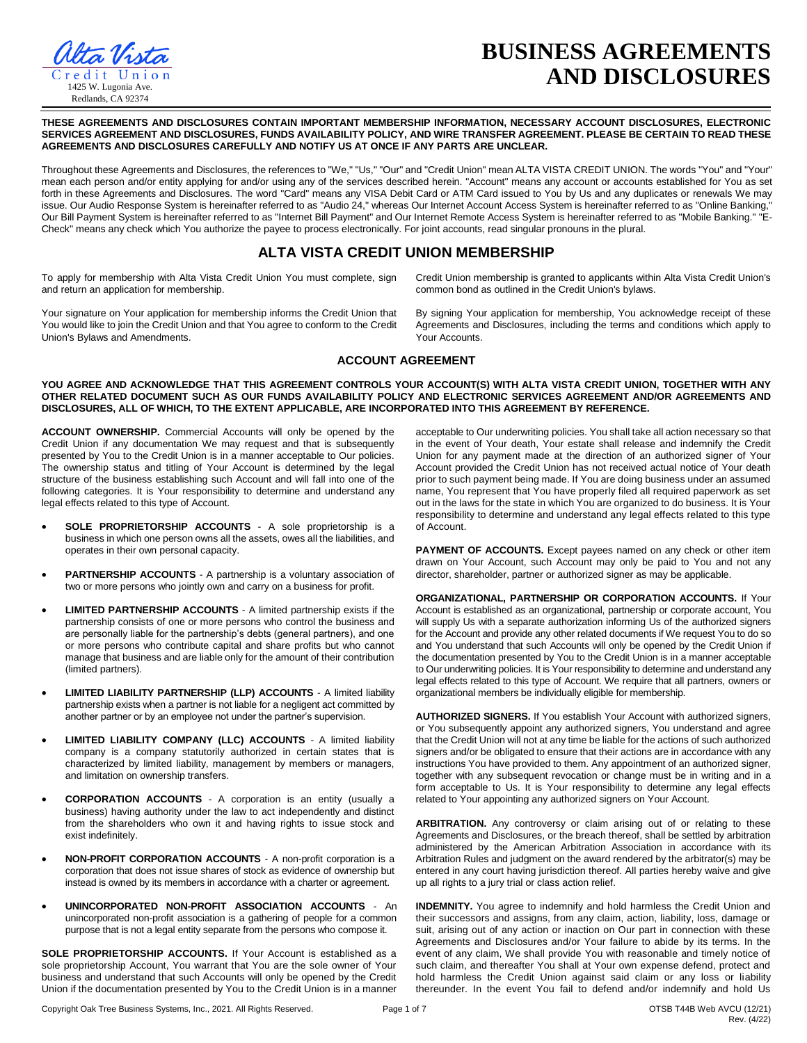

# **BUSINESS AGREEMENTS AND DISCLOSURES**

**THESE AGREEMENTS AND DISCLOSURES CONTAIN IMPORTANT MEMBERSHIP INFORMATION, NECESSARY ACCOUNT DISCLOSURES, ELECTRONIC SERVICES AGREEMENT AND DISCLOSURES, FUNDS AVAILABILITY POLICY, AND WIRE TRANSFER AGREEMENT. PLEASE BE CERTAIN TO READ THESE AGREEMENTS AND DISCLOSURES CAREFULLY AND NOTIFY US AT ONCE IF ANY PARTS ARE UNCLEAR.** 

Throughout these Agreements and Disclosures, the references to "We," "Us," "Our" and "Credit Union" mean ALTA VISTA CREDIT UNION. The words "You" and "Your" mean each person and/or entity applying for and/or using any of the services described herein. "Account" means any account or accounts established for You as set forth in these Agreements and Disclosures. The word "Card" means any VISA Debit Card or ATM Card issued to You by Us and any duplicates or renewals We may issue. Our Audio Response System is hereinafter referred to as "Audio 24," whereas Our Internet Account Access System is hereinafter referred to as "Online Banking, Our Bill Payment System is hereinafter referred to as "Internet Bill Payment" and Our Internet Remote Access System is hereinafter referred to as "Mobile Banking." "E-Check" means any check which You authorize the payee to process electronically. For joint accounts, read singular pronouns in the plural.

## **ALTA VISTA CREDIT UNION MEMBERSHIP**

To apply for membership with Alta Vista Credit Union You must complete, sign and return an application for membership.

Your signature on Your application for membership informs the Credit Union that You would like to join the Credit Union and that You agree to conform to the Credit Union's Bylaws and Amendments.

Credit Union membership is granted to applicants within Alta Vista Credit Union's common bond as outlined in the Credit Union's bylaws. By signing Your application for membership, You acknowledge receipt of these Agreements and Disclosures, including the terms and conditions which apply to

## **ACCOUNT AGREEMENT**

Your Accounts.

#### **YOU AGREE AND ACKNOWLEDGE THAT THIS AGREEMENT CONTROLS YOUR ACCOUNT(S) WITH ALTA VISTA CREDIT UNION, TOGETHER WITH ANY OTHER RELATED DOCUMENT SUCH AS OUR FUNDS AVAILABILITY POLICY AND ELECTRONIC SERVICES AGREEMENT AND/OR AGREEMENTS AND DISCLOSURES, ALL OF WHICH, TO THE EXTENT APPLICABLE, ARE INCORPORATED INTO THIS AGREEMENT BY REFERENCE.**

**ACCOUNT OWNERSHIP.** Commercial Accounts will only be opened by the Credit Union if any documentation We may request and that is subsequently presented by You to the Credit Union is in a manner acceptable to Our policies. The ownership status and titling of Your Account is determined by the legal structure of the business establishing such Account and will fall into one of the following categories. It is Your responsibility to determine and understand any legal effects related to this type of Account.

- **SOLE PROPRIETORSHIP ACCOUNTS**  A sole proprietorship is a business in which one person owns all the assets, owes all the liabilities, and operates in their own personal capacity.
- **PARTNERSHIP ACCOUNTS**  A partnership is a voluntary association of two or more persons who jointly own and carry on a business for profit.
- **LIMITED PARTNERSHIP ACCOUNTS**  A limited partnership exists if the partnership consists of one or more persons who control the business and are personally liable for the partnership's debts (general partners), and one or more persons who contribute capital and share profits but who cannot manage that business and are liable only for the amount of their contribution (limited partners).
- **LIMITED LIABILITY PARTNERSHIP (LLP) ACCOUNTS**  A limited liability partnership exists when a partner is not liable for a negligent act committed by another partner or by an employee not under the partner's supervision.
- **LIMITED LIABILITY COMPANY (LLC) ACCOUNTS**  A limited liability company is a company statutorily authorized in certain states that is characterized by limited liability, management by members or managers, and limitation on ownership transfers.
- **CORPORATION ACCOUNTS**  A corporation is an entity (usually a business) having authority under the law to act independently and distinct from the shareholders who own it and having rights to issue stock and exist indefinitely.
- **NON-PROFIT CORPORATION ACCOUNTS**  A non-profit corporation is a corporation that does not issue shares of stock as evidence of ownership but instead is owned by its members in accordance with a charter or agreement.
- **UNINCORPORATED NON-PROFIT ASSOCIATION ACCOUNTS** An unincorporated non-profit association is a gathering of people for a common purpose that is not a legal entity separate from the persons who compose it.

**SOLE PROPRIETORSHIP ACCOUNTS.** If Your Account is established as a sole proprietorship Account, You warrant that You are the sole owner of Your business and understand that such Accounts will only be opened by the Credit Union if the documentation presented by You to the Credit Union is in a manner

acceptable to Our underwriting policies. You shall take all action necessary so that in the event of Your death, Your estate shall release and indemnify the Credit Union for any payment made at the direction of an authorized signer of Your Account provided the Credit Union has not received actual notice of Your death prior to such payment being made. If You are doing business under an assumed name, You represent that You have properly filed all required paperwork as set out in the laws for the state in which You are organized to do business. It is Your responsibility to determine and understand any legal effects related to this type of Account.

PAYMENT OF ACCOUNTS. Except payees named on any check or other item drawn on Your Account, such Account may only be paid to You and not any director, shareholder, partner or authorized signer as may be applicable.

**ORGANIZATIONAL, PARTNERSHIP OR CORPORATION ACCOUNTS.** If Your Account is established as an organizational, partnership or corporate account, You will supply Us with a separate authorization informing Us of the authorized signers for the Account and provide any other related documents if We request You to do so and You understand that such Accounts will only be opened by the Credit Union if the documentation presented by You to the Credit Union is in a manner acceptable to Our underwriting policies. It is Your responsibility to determine and understand any legal effects related to this type of Account. We require that all partners, owners or organizational members be individually eligible for membership.

**AUTHORIZED SIGNERS.** If You establish Your Account with authorized signers, or You subsequently appoint any authorized signers, You understand and agree that the Credit Union will not at any time be liable for the actions of such authorized signers and/or be obligated to ensure that their actions are in accordance with any instructions You have provided to them. Any appointment of an authorized signer, together with any subsequent revocation or change must be in writing and in a form acceptable to Us. It is Your responsibility to determine any legal effects related to Your appointing any authorized signers on Your Account.

**ARBITRATION.** Any controversy or claim arising out of or relating to these Agreements and Disclosures, or the breach thereof, shall be settled by arbitration administered by the American Arbitration Association in accordance with its Arbitration Rules and judgment on the award rendered by the arbitrator(s) may be entered in any court having jurisdiction thereof. All parties hereby waive and give up all rights to a jury trial or class action relief.

**INDEMNITY.** You agree to indemnify and hold harmless the Credit Union and their successors and assigns, from any claim, action, liability, loss, damage or suit, arising out of any action or inaction on Our part in connection with these Agreements and Disclosures and/or Your failure to abide by its terms. In the event of any claim, We shall provide You with reasonable and timely notice of such claim, and thereafter You shall at Your own expense defend, protect and hold harmless the Credit Union against said claim or any loss or liability thereunder. In the event You fail to defend and/or indemnify and hold Us

Copyright Oak Tree Business Systems, Inc., 2021. All Rights Reserved. Page 1 of 7 OTSB T44B Web AVCU (12/21)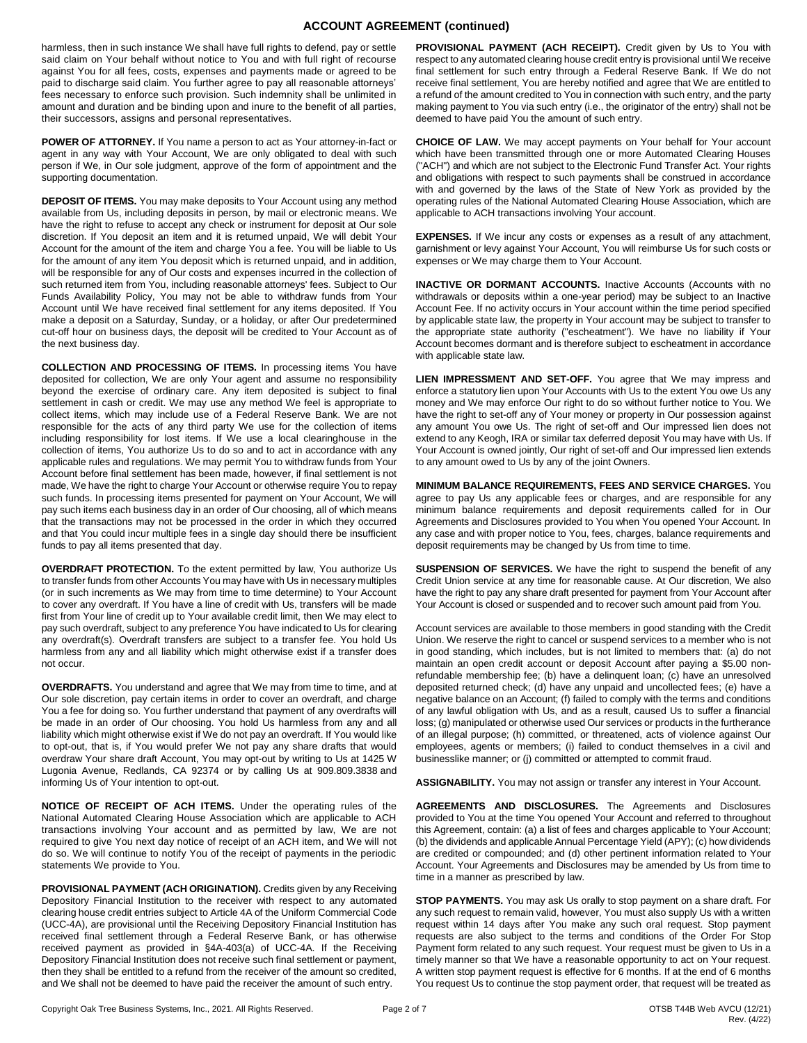## **ACCOUNT AGREEMENT (continued)**

harmless, then in such instance We shall have full rights to defend, pay or settle said claim on Your behalf without notice to You and with full right of recourse against You for all fees, costs, expenses and payments made or agreed to be paid to discharge said claim. You further agree to pay all reasonable attorneys' fees necessary to enforce such provision. Such indemnity shall be unlimited in amount and duration and be binding upon and inure to the benefit of all parties, their successors, assigns and personal representatives.

**POWER OF ATTORNEY.** If You name a person to act as Your attorney-in-fact or agent in any way with Your Account, We are only obligated to deal with such person if We, in Our sole judgment, approve of the form of appointment and the supporting documentation.

**DEPOSIT OF ITEMS.** You may make deposits to Your Account using any method available from Us, including deposits in person, by mail or electronic means. We have the right to refuse to accept any check or instrument for deposit at Our sole discretion. If You deposit an item and it is returned unpaid, We will debit Your Account for the amount of the item and charge You a fee. You will be liable to Us for the amount of any item You deposit which is returned unpaid, and in addition, will be responsible for any of Our costs and expenses incurred in the collection of such returned item from You, including reasonable attorneys' fees. Subject to Our Funds Availability Policy, You may not be able to withdraw funds from Your Account until We have received final settlement for any items deposited. If You make a deposit on a Saturday, Sunday, or a holiday, or after Our predetermined cut-off hour on business days, the deposit will be credited to Your Account as of the next business day.

**COLLECTION AND PROCESSING OF ITEMS.** In processing items You have deposited for collection, We are only Your agent and assume no responsibility beyond the exercise of ordinary care. Any item deposited is subject to final settlement in cash or credit. We may use any method We feel is appropriate to collect items, which may include use of a Federal Reserve Bank. We are not responsible for the acts of any third party We use for the collection of items including responsibility for lost items. If We use a local clearinghouse in the collection of items, You authorize Us to do so and to act in accordance with any applicable rules and regulations. We may permit You to withdraw funds from Your Account before final settlement has been made, however, if final settlement is not made, We have the right to charge Your Account or otherwise require You to repay such funds. In processing items presented for payment on Your Account, We will pay such items each business day in an order of Our choosing, all of which means that the transactions may not be processed in the order in which they occurred and that You could incur multiple fees in a single day should there be insufficient funds to pay all items presented that day.

**OVERDRAFT PROTECTION.** To the extent permitted by law, You authorize Us to transfer funds from other Accounts You may have with Us in necessary multiples (or in such increments as We may from time to time determine) to Your Account to cover any overdraft. If You have a line of credit with Us, transfers will be made first from Your line of credit up to Your available credit limit, then We may elect to pay such overdraft, subject to any preference You have indicated to Us for clearing any overdraft(s). Overdraft transfers are subject to a transfer fee. You hold Us harmless from any and all liability which might otherwise exist if a transfer does not occur.

**OVERDRAFTS.** You understand and agree that We may from time to time, and at Our sole discretion, pay certain items in order to cover an overdraft, and charge You a fee for doing so. You further understand that payment of any overdrafts will be made in an order of Our choosing. You hold Us harmless from any and all liability which might otherwise exist if We do not pay an overdraft. If You would like to opt-out, that is, if You would prefer We not pay any share drafts that would overdraw Your share draft Account, You may opt-out by writing to Us at 1425 W Lugonia Avenue, Redlands, CA 92374 or by calling Us at 909.809.3838 and informing Us of Your intention to opt-out.

**NOTICE OF RECEIPT OF ACH ITEMS.** Under the operating rules of the National Automated Clearing House Association which are applicable to ACH transactions involving Your account and as permitted by law, We are not required to give You next day notice of receipt of an ACH item, and We will not do so. We will continue to notify You of the receipt of payments in the periodic statements We provide to You.

PROVISIONAL PAYMENT (ACH ORIGINATION). Credits given by any Receiving Depository Financial Institution to the receiver with respect to any automated clearing house credit entries subject to Article 4A of the Uniform Commercial Code (UCC-4A), are provisional until the Receiving Depository Financial Institution has received final settlement through a Federal Reserve Bank, or has otherwise received payment as provided in §4A-403(a) of UCC-4A. If the Receiving Depository Financial Institution does not receive such final settlement or payment, then they shall be entitled to a refund from the receiver of the amount so credited, and We shall not be deemed to have paid the receiver the amount of such entry.

**PROVISIONAL PAYMENT (ACH RECEIPT).** Credit given by Us to You with respect to any automated clearing house credit entry is provisional until We receive final settlement for such entry through a Federal Reserve Bank. If We do not receive final settlement, You are hereby notified and agree that We are entitled to a refund of the amount credited to You in connection with such entry, and the party making payment to You via such entry (i.e., the originator of the entry) shall not be deemed to have paid You the amount of such entry.

**CHOICE OF LAW.** We may accept payments on Your behalf for Your account which have been transmitted through one or more Automated Clearing Houses ("ACH") and which are not subject to the Electronic Fund Transfer Act. Your rights and obligations with respect to such payments shall be construed in accordance with and governed by the laws of the State of New York as provided by the operating rules of the National Automated Clearing House Association, which are applicable to ACH transactions involving Your account.

**EXPENSES.** If We incur any costs or expenses as a result of any attachment, garnishment or levy against Your Account, You will reimburse Us for such costs or expenses or We may charge them to Your Account.

**INACTIVE OR DORMANT ACCOUNTS.** Inactive Accounts (Accounts with no withdrawals or deposits within a one-year period) may be subject to an Inactive Account Fee. If no activity occurs in Your account within the time period specified by applicable state law, the property in Your account may be subject to transfer to the appropriate state authority ("escheatment"). We have no liability if Your Account becomes dormant and is therefore subject to escheatment in accordance with applicable state law.

**LIEN IMPRESSMENT AND SET-OFF.** You agree that We may impress and enforce a statutory lien upon Your Accounts with Us to the extent You owe Us any money and We may enforce Our right to do so without further notice to You. We have the right to set-off any of Your money or property in Our possession against any amount You owe Us. The right of set-off and Our impressed lien does not extend to any Keogh, IRA or similar tax deferred deposit You may have with Us. If Your Account is owned jointly, Our right of set-off and Our impressed lien extends to any amount owed to Us by any of the joint Owners.

**MINIMUM BALANCE REQUIREMENTS, FEES AND SERVICE CHARGES.** You agree to pay Us any applicable fees or charges, and are responsible for any minimum balance requirements and deposit requirements called for in Our Agreements and Disclosures provided to You when You opened Your Account. In any case and with proper notice to You, fees, charges, balance requirements and deposit requirements may be changed by Us from time to time.

**SUSPENSION OF SERVICES.** We have the right to suspend the benefit of any Credit Union service at any time for reasonable cause. At Our discretion, We also have the right to pay any share draft presented for payment from Your Account after Your Account is closed or suspended and to recover such amount paid from You.

Account services are available to those members in good standing with the Credit Union. We reserve the right to cancel or suspend services to a member who is not in good standing, which includes, but is not limited to members that: (a) do not maintain an open credit account or deposit Account after paying a \$5.00 nonrefundable membership fee; (b) have a delinquent loan; (c) have an unresolved deposited returned check; (d) have any unpaid and uncollected fees; (e) have a negative balance on an Account; (f) failed to comply with the terms and conditions of any lawful obligation with Us, and as a result, caused Us to suffer a financial loss; (g) manipulated or otherwise used Our services or products in the furtherance of an illegal purpose; (h) committed, or threatened, acts of violence against Our employees, agents or members; (i) failed to conduct themselves in a civil and businesslike manner; or (j) committed or attempted to commit fraud.

**ASSIGNABILITY.** You may not assign or transfer any interest in Your Account.

**AGREEMENTS AND DISCLOSURES.** The Agreements and Disclosures provided to You at the time You opened Your Account and referred to throughout this Agreement, contain: (a) a list of fees and charges applicable to Your Account; (b) the dividends and applicable Annual Percentage Yield (APY); (c) how dividends are credited or compounded; and (d) other pertinent information related to Your Account. Your Agreements and Disclosures may be amended by Us from time to time in a manner as prescribed by law.

**STOP PAYMENTS.** You may ask Us orally to stop payment on a share draft. For any such request to remain valid, however, You must also supply Us with a written request within 14 days after You make any such oral request. Stop payment requests are also subject to the terms and conditions of the Order For Stop Payment form related to any such request. Your request must be given to Us in a timely manner so that We have a reasonable opportunity to act on Your request. A written stop payment request is effective for 6 months. If at the end of 6 months You request Us to continue the stop payment order, that request will be treated as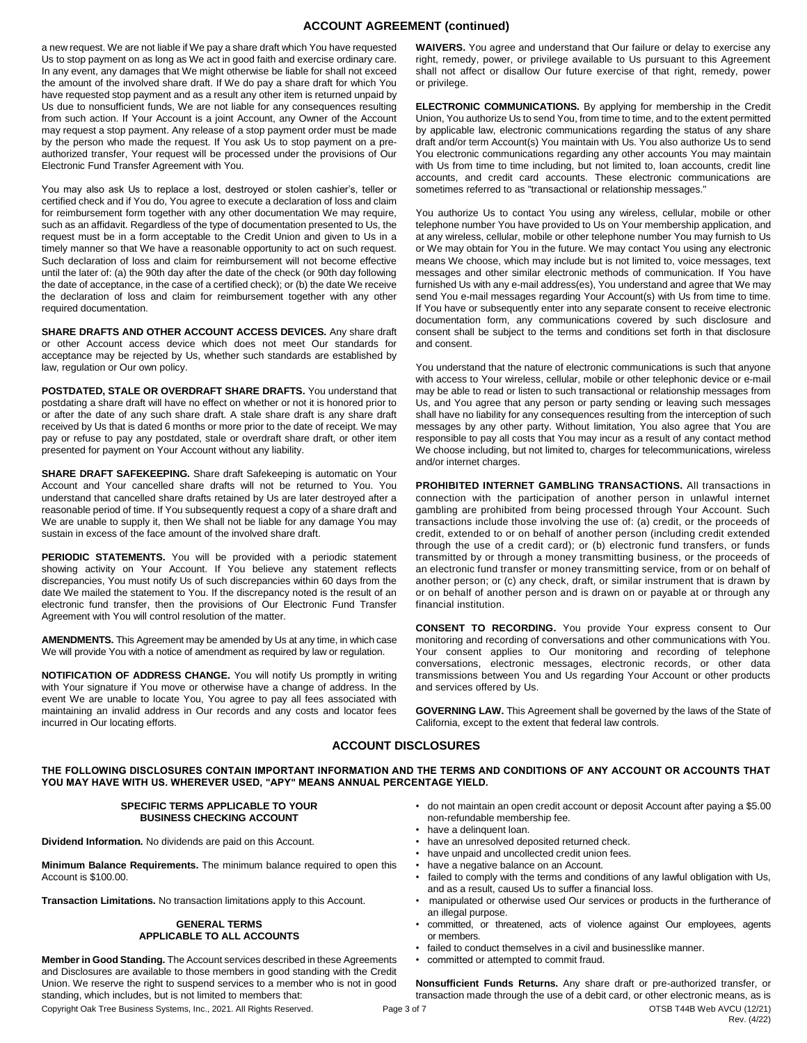## **ACCOUNT AGREEMENT (continued)**

a new request. We are not liable if We pay a share draft which You have requested Us to stop payment on as long as We act in good faith and exercise ordinary care. In any event, any damages that We might otherwise be liable for shall not exceed the amount of the involved share draft. If We do pay a share draft for which You have requested stop payment and as a result any other item is returned unpaid by Us due to nonsufficient funds, We are not liable for any consequences resulting from such action. If Your Account is a joint Account, any Owner of the Account may request a stop payment. Any release of a stop payment order must be made by the person who made the request. If You ask Us to stop payment on a preauthorized transfer, Your request will be processed under the provisions of Our Electronic Fund Transfer Agreement with You.

You may also ask Us to replace a lost, destroyed or stolen cashier's, teller or certified check and if You do, You agree to execute a declaration of loss and claim for reimbursement form together with any other documentation We may require, such as an affidavit. Regardless of the type of documentation presented to Us, the request must be in a form acceptable to the Credit Union and given to Us in a timely manner so that We have a reasonable opportunity to act on such request. Such declaration of loss and claim for reimbursement will not become effective until the later of: (a) the 90th day after the date of the check (or 90th day following the date of acceptance, in the case of a certified check); or (b) the date We receive the declaration of loss and claim for reimbursement together with any other required documentation.

**SHARE DRAFTS AND OTHER ACCOUNT ACCESS DEVICES.** Any share draft or other Account access device which does not meet Our standards for acceptance may be rejected by Us, whether such standards are established by law, regulation or Our own policy.

**POSTDATED, STALE OR OVERDRAFT SHARE DRAFTS.** You understand that postdating a share draft will have no effect on whether or not it is honored prior to or after the date of any such share draft. A stale share draft is any share draft received by Us that is dated 6 months or more prior to the date of receipt. We may pay or refuse to pay any postdated, stale or overdraft share draft, or other item presented for payment on Your Account without any liability.

**SHARE DRAFT SAFEKEEPING.** Share draft Safekeeping is automatic on Your Account and Your cancelled share drafts will not be returned to You. You understand that cancelled share drafts retained by Us are later destroyed after a reasonable period of time. If You subsequently request a copy of a share draft and We are unable to supply it, then We shall not be liable for any damage You may sustain in excess of the face amount of the involved share draft.

PERIODIC STATEMENTS. You will be provided with a periodic statement showing activity on Your Account. If You believe any statement reflects discrepancies, You must notify Us of such discrepancies within 60 days from the date We mailed the statement to You. If the discrepancy noted is the result of an electronic fund transfer, then the provisions of Our Electronic Fund Transfer Agreement with You will control resolution of the matter.

**AMENDMENTS.** This Agreement may be amended by Us at any time, in which case We will provide You with a notice of amendment as required by law or regulation.

**NOTIFICATION OF ADDRESS CHANGE.** You will notify Us promptly in writing with Your signature if You move or otherwise have a change of address. In the event We are unable to locate You, You agree to pay all fees associated with maintaining an invalid address in Our records and any costs and locator fees incurred in Our locating efforts.

**WAIVERS.** You agree and understand that Our failure or delay to exercise any right, remedy, power, or privilege available to Us pursuant to this Agreement shall not affect or disallow Our future exercise of that right, remedy, power or privilege.

**ELECTRONIC COMMUNICATIONS.** By applying for membership in the Credit Union, You authorize Us to send You, from time to time, and to the extent permitted by applicable law, electronic communications regarding the status of any share draft and/or term Account(s) You maintain with Us. You also authorize Us to send You electronic communications regarding any other accounts You may maintain with Us from time to time including, but not limited to, loan accounts, credit line accounts, and credit card accounts. These electronic communications are sometimes referred to as "transactional or relationship messages."

You authorize Us to contact You using any wireless, cellular, mobile or other telephone number You have provided to Us on Your membership application, and at any wireless, cellular, mobile or other telephone number You may furnish to Us or We may obtain for You in the future. We may contact You using any electronic means We choose, which may include but is not limited to, voice messages, text messages and other similar electronic methods of communication. If You have furnished Us with any e-mail address(es), You understand and agree that We may send You e-mail messages regarding Your Account(s) with Us from time to time. If You have or subsequently enter into any separate consent to receive electronic documentation form, any communications covered by such disclosure and consent shall be subject to the terms and conditions set forth in that disclosure and consent.

You understand that the nature of electronic communications is such that anyone with access to Your wireless, cellular, mobile or other telephonic device or e-mail may be able to read or listen to such transactional or relationship messages from Us, and You agree that any person or party sending or leaving such messages shall have no liability for any consequences resulting from the interception of such messages by any other party. Without limitation, You also agree that You are responsible to pay all costs that You may incur as a result of any contact method We choose including, but not limited to, charges for telecommunications, wireless and/or internet charges.

**PROHIBITED INTERNET GAMBLING TRANSACTIONS.** All transactions in connection with the participation of another person in unlawful internet gambling are prohibited from being processed through Your Account. Such transactions include those involving the use of: (a) credit, or the proceeds of credit, extended to or on behalf of another person (including credit extended through the use of a credit card); or (b) electronic fund transfers, or funds transmitted by or through a money transmitting business, or the proceeds of an electronic fund transfer or money transmitting service, from or on behalf of another person; or (c) any check, draft, or similar instrument that is drawn by or on behalf of another person and is drawn on or payable at or through any financial institution.

**CONSENT TO RECORDING.** You provide Your express consent to Our monitoring and recording of conversations and other communications with You. Your consent applies to Our monitoring and recording of telephone conversations, electronic messages, electronic records, or other data transmissions between You and Us regarding Your Account or other products and services offered by Us.

**GOVERNING LAW.** This Agreement shall be governed by the laws of the State of California, except to the extent that federal law controls.

## **ACCOUNT DISCLOSURES**

**THE FOLLOWING DISCLOSURES CONTAIN IMPORTANT INFORMATION AND THE TERMS AND CONDITIONS OF ANY ACCOUNT OR ACCOUNTS THAT YOU MAY HAVE WITH US. WHEREVER USED, "APY" MEANS ANNUAL PERCENTAGE YIELD.** 

#### **SPECIFIC TERMS APPLICABLE TO YOUR BUSINESS CHECKING ACCOUNT**

**Dividend Information.** No dividends are paid on this Account.

**Minimum Balance Requirements.** The minimum balance required to open this Account is \$100.00.

**Transaction Limitations.** No transaction limitations apply to this Account.

#### **GENERAL TERMS APPLICABLE TO ALL ACCOUNTS**

**Member in Good Standing.** The Account services described in these Agreements and Disclosures are available to those members in good standing with the Credit Union. We reserve the right to suspend services to a member who is not in good standing, which includes, but is not limited to members that:

- do not maintain an open credit account or deposit Account after paying a \$5.00 non-refundable membership fee.
- have a delinquent loan.
- have an unresolved deposited returned check.
- have unpaid and uncollected credit union fees.
- have a negative balance on an Account.
- failed to comply with the terms and conditions of any lawful obligation with Us, and as a result, caused Us to suffer a financial loss.
- manipulated or otherwise used Our services or products in the furtherance of an illegal purpose.
- committed, or threatened, acts of violence against Our employees, agents or members.
- failed to conduct themselves in a civil and businesslike manner.
- committed or attempted to commit fraud.

Copyright Oak Tree Business Systems, Inc., 2021. All Rights Reserved. Page 3 of 7 OTSB T44B Web AVCU (12/21) Rev. (4/22) **Nonsufficient Funds Returns.** Any share draft or pre-authorized transfer, or transaction made through the use of a debit card, or other electronic means, as is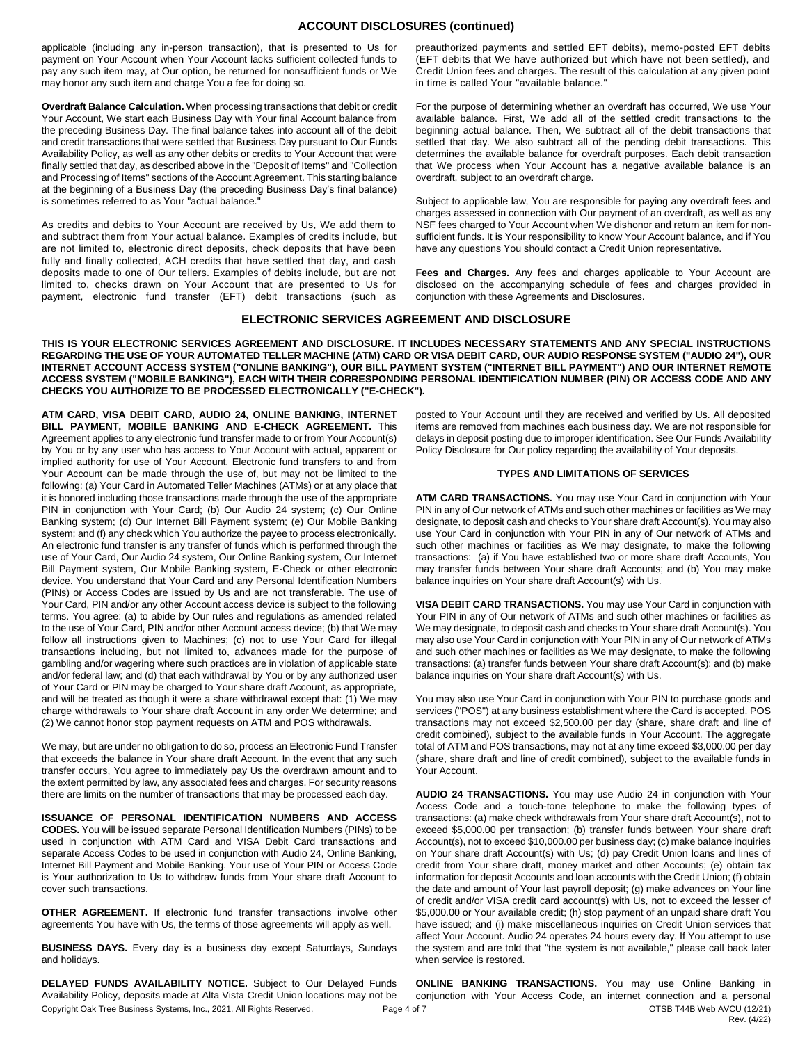## **ACCOUNT DISCLOSURES (continued)**

applicable (including any in-person transaction), that is presented to Us for payment on Your Account when Your Account lacks sufficient collected funds to pay any such item may, at Our option, be returned for nonsufficient funds or We may honor any such item and charge You a fee for doing so.

**Overdraft Balance Calculation.** When processing transactions that debit or credit Your Account, We start each Business Day with Your final Account balance from the preceding Business Day. The final balance takes into account all of the debit and credit transactions that were settled that Business Day pursuant to Our Funds Availability Policy, as well as any other debits or credits to Your Account that were finally settled that day, as described above in the "Deposit of Items" and "Collection and Processing of Items" sections of the Account Agreement. This starting balance at the beginning of a Business Day (the preceding Business Day's final balance) is sometimes referred to as Your "actual balance."

As credits and debits to Your Account are received by Us, We add them to and subtract them from Your actual balance. Examples of credits include, but are not limited to, electronic direct deposits, check deposits that have been fully and finally collected, ACH credits that have settled that day, and cash deposits made to one of Our tellers. Examples of debits include, but are not limited to, checks drawn on Your Account that are presented to Us for payment, electronic fund transfer (EFT) debit transactions (such as

preauthorized payments and settled EFT debits), memo-posted EFT debits (EFT debits that We have authorized but which have not been settled), and Credit Union fees and charges. The result of this calculation at any given point in time is called Your "available balance."

For the purpose of determining whether an overdraft has occurred, We use Your available balance. First, We add all of the settled credit transactions to the beginning actual balance. Then, We subtract all of the debit transactions that settled that day. We also subtract all of the pending debit transactions. This determines the available balance for overdraft purposes. Each debit transaction that We process when Your Account has a negative available balance is an overdraft, subject to an overdraft charge.

Subject to applicable law, You are responsible for paying any overdraft fees and charges assessed in connection with Our payment of an overdraft, as well as any NSF fees charged to Your Account when We dishonor and return an item for nonsufficient funds. It is Your responsibility to know Your Account balance, and if You have any questions You should contact a Credit Union representative.

**Fees and Charges.** Any fees and charges applicable to Your Account are disclosed on the accompanying schedule of fees and charges provided in conjunction with these Agreements and Disclosures.

## **ELECTRONIC SERVICES AGREEMENT AND DISCLOSURE**

**THIS IS YOUR ELECTRONIC SERVICES AGREEMENT AND DISCLOSURE. IT INCLUDES NECESSARY STATEMENTS AND ANY SPECIAL INSTRUCTIONS REGARDING THE USE OF YOUR AUTOMATED TELLER MACHINE (ATM) CARD OR VISA DEBIT CARD, OUR AUDIO RESPONSE SYSTEM ("AUDIO 24"), OUR INTERNET ACCOUNT ACCESS SYSTEM ("ONLINE BANKING"), OUR BILL PAYMENT SYSTEM ("INTERNET BILL PAYMENT") AND OUR INTERNET REMOTE ACCESS SYSTEM ("MOBILE BANKING"), EACH WITH THEIR CORRESPONDING PERSONAL IDENTIFICATION NUMBER (PIN) OR ACCESS CODE AND ANY CHECKS YOU AUTHORIZE TO BE PROCESSED ELECTRONICALLY ("E-CHECK").**

**ATM CARD, VISA DEBIT CARD, AUDIO 24, ONLINE BANKING, INTERNET BILL PAYMENT, MOBILE BANKING AND E-CHECK AGREEMENT.** This Agreement applies to any electronic fund transfer made to or from Your Account(s) by You or by any user who has access to Your Account with actual, apparent or implied authority for use of Your Account. Electronic fund transfers to and from Your Account can be made through the use of, but may not be limited to the following: (a) Your Card in Automated Teller Machines (ATMs) or at any place that it is honored including those transactions made through the use of the appropriate PIN in conjunction with Your Card; (b) Our Audio 24 system; (c) Our Online Banking system; (d) Our Internet Bill Payment system; (e) Our Mobile Banking system; and (f) any check which You authorize the payee to process electronically. An electronic fund transfer is any transfer of funds which is performed through the use of Your Card, Our Audio 24 system, Our Online Banking system, Our Internet Bill Payment system, Our Mobile Banking system, E-Check or other electronic device. You understand that Your Card and any Personal Identification Numbers (PINs) or Access Codes are issued by Us and are not transferable. The use of Your Card, PIN and/or any other Account access device is subject to the following terms. You agree: (a) to abide by Our rules and regulations as amended related to the use of Your Card, PIN and/or other Account access device; (b) that We may follow all instructions given to Machines; (c) not to use Your Card for illegal transactions including, but not limited to, advances made for the purpose of gambling and/or wagering where such practices are in violation of applicable state and/or federal law; and (d) that each withdrawal by You or by any authorized user of Your Card or PIN may be charged to Your share draft Account, as appropriate, and will be treated as though it were a share withdrawal except that: (1) We may charge withdrawals to Your share draft Account in any order We determine; and (2) We cannot honor stop payment requests on ATM and POS withdrawals.

We may, but are under no obligation to do so, process an Electronic Fund Transfer that exceeds the balance in Your share draft Account. In the event that any such transfer occurs, You agree to immediately pay Us the overdrawn amount and to the extent permitted by law, any associated fees and charges. For security reasons there are limits on the number of transactions that may be processed each day.

**ISSUANCE OF PERSONAL IDENTIFICATION NUMBERS AND ACCESS CODES.** You will be issued separate Personal Identification Numbers (PINs) to be used in conjunction with ATM Card and VISA Debit Card transactions and separate Access Codes to be used in conjunction with Audio 24, Online Banking, Internet Bill Payment and Mobile Banking. Your use of Your PIN or Access Code is Your authorization to Us to withdraw funds from Your share draft Account to cover such transactions.

**OTHER AGREEMENT.** If electronic fund transfer transactions involve other agreements You have with Us, the terms of those agreements will apply as well.

**BUSINESS DAYS.** Every day is a business day except Saturdays, Sundays and holidays.

Copyright Oak Tree Business Systems, Inc., 2021. All Rights Reserved. Page 4 of 7 Page 4 of 7 OTSB T44B Web AVCU (12/21) **DELAYED FUNDS AVAILABILITY NOTICE.** Subject to Our Delayed Funds Availability Policy, deposits made at Alta Vista Credit Union locations may not be

posted to Your Account until they are received and verified by Us. All deposited items are removed from machines each business day. We are not responsible for delays in deposit posting due to improper identification. See Our Funds Availability Policy Disclosure for Our policy regarding the availability of Your deposits.

#### **TYPES AND LIMITATIONS OF SERVICES**

**ATM CARD TRANSACTIONS.** You may use Your Card in conjunction with Your PIN in any of Our network of ATMs and such other machines or facilities as We may designate, to deposit cash and checks to Your share draft Account(s). You may also use Your Card in conjunction with Your PIN in any of Our network of ATMs and such other machines or facilities as We may designate, to make the following transactions: (a) if You have established two or more share draft Accounts, You may transfer funds between Your share draft Accounts; and (b) You may make balance inquiries on Your share draft Account(s) with Us.

**VISA DEBIT CARD TRANSACTIONS.** You may use Your Card in conjunction with Your PIN in any of Our network of ATMs and such other machines or facilities as We may designate, to deposit cash and checks to Your share draft Account(s). You may also use Your Card in conjunction with Your PIN in any of Our network of ATMs and such other machines or facilities as We may designate, to make the following transactions: (a) transfer funds between Your share draft Account(s); and (b) make balance inquiries on Your share draft Account(s) with Us.

You may also use Your Card in conjunction with Your PIN to purchase goods and services ("POS") at any business establishment where the Card is accepted. POS transactions may not exceed \$2,500.00 per day (share, share draft and line of credit combined), subject to the available funds in Your Account. The aggregate total of ATM and POS transactions, may not at any time exceed \$3,000.00 per day (share, share draft and line of credit combined), subject to the available funds in Your Account.

**AUDIO 24 TRANSACTIONS.** You may use Audio 24 in conjunction with Your Access Code and a touch-tone telephone to make the following types of transactions: (a) make check withdrawals from Your share draft Account(s), not to exceed \$5,000.00 per transaction; (b) transfer funds between Your share draft Account(s), not to exceed \$10,000.00 per business day; (c) make balance inquiries on Your share draft Account(s) with Us; (d) pay Credit Union loans and lines of credit from Your share draft, money market and other Accounts; (e) obtain tax information for deposit Accounts and loan accounts with the Credit Union; (f) obtain the date and amount of Your last payroll deposit; (g) make advances on Your line of credit and/or VISA credit card account(s) with Us, not to exceed the lesser of \$5,000.00 or Your available credit; (h) stop payment of an unpaid share draft You have issued; and (i) make miscellaneous inquiries on Credit Union services that affect Your Account. Audio 24 operates 24 hours every day. If You attempt to use the system and are told that "the system is not available," please call back later when service is restored.

Rev. (4/22) **ONLINE BANKING TRANSACTIONS.** You may use Online Banking in conjunction with Your Access Code, an internet connection and a personal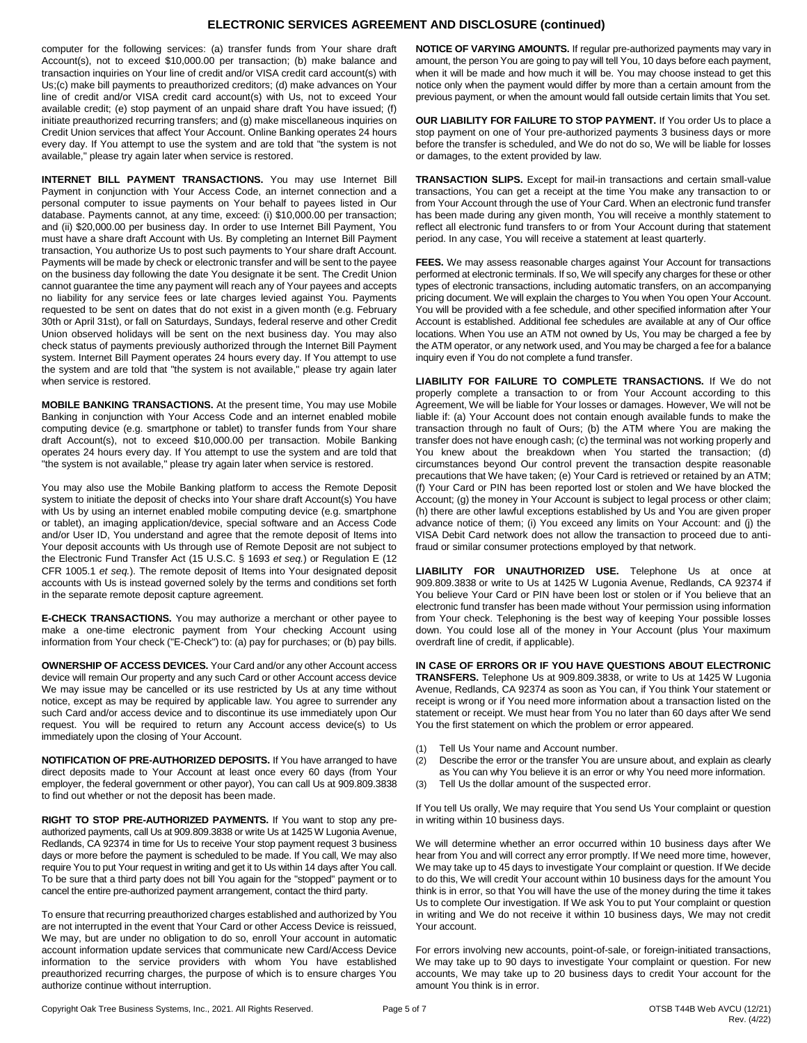## **ELECTRONIC SERVICES AGREEMENT AND DISCLOSURE (continued)**

computer for the following services: (a) transfer funds from Your share draft Account(s), not to exceed \$10,000.00 per transaction; (b) make balance and transaction inquiries on Your line of credit and/or VISA credit card account(s) with Us;(c) make bill payments to preauthorized creditors; (d) make advances on Your line of credit and/or VISA credit card account(s) with Us, not to exceed Your available credit; (e) stop payment of an unpaid share draft You have issued; (f) initiate preauthorized recurring transfers; and (g) make miscellaneous inquiries on Credit Union services that affect Your Account. Online Banking operates 24 hours every day. If You attempt to use the system and are told that "the system is not available," please try again later when service is restored.

**INTERNET BILL PAYMENT TRANSACTIONS.** You may use Internet Bill Payment in conjunction with Your Access Code, an internet connection and a personal computer to issue payments on Your behalf to payees listed in Our database. Payments cannot, at any time, exceed: (i) \$10,000.00 per transaction; and (ii) \$20,000.00 per business day. In order to use Internet Bill Payment, You must have a share draft Account with Us. By completing an Internet Bill Payment transaction, You authorize Us to post such payments to Your share draft Account. Payments will be made by check or electronic transfer and will be sent to the payee on the business day following the date You designate it be sent. The Credit Union cannot guarantee the time any payment will reach any of Your payees and accepts no liability for any service fees or late charges levied against You. Payments requested to be sent on dates that do not exist in a given month (e.g. February 30th or April 31st), or fall on Saturdays, Sundays, federal reserve and other Credit Union observed holidays will be sent on the next business day. You may also check status of payments previously authorized through the Internet Bill Payment system. Internet Bill Payment operates 24 hours every day. If You attempt to use the system and are told that "the system is not available," please try again later when service is restored.

**MOBILE BANKING TRANSACTIONS.** At the present time, You may use Mobile Banking in conjunction with Your Access Code and an internet enabled mobile computing device (e.g. smartphone or tablet) to transfer funds from Your share draft Account(s), not to exceed \$10,000.00 per transaction. Mobile Banking operates 24 hours every day. If You attempt to use the system and are told that "the system is not available," please try again later when service is restored.

You may also use the Mobile Banking platform to access the Remote Deposit system to initiate the deposit of checks into Your share draft Account(s) You have with Us by using an internet enabled mobile computing device (e.g. smartphone or tablet), an imaging application/device, special software and an Access Code and/or User ID, You understand and agree that the remote deposit of Items into Your deposit accounts with Us through use of Remote Deposit are not subject to the Electronic Fund Transfer Act (15 U.S.C. § 1693 *et seq.*) or Regulation E (12 CFR 1005.1 *et seq.*). The remote deposit of Items into Your designated deposit accounts with Us is instead governed solely by the terms and conditions set forth in the separate remote deposit capture agreement.

**E-CHECK TRANSACTIONS.** You may authorize a merchant or other payee to make a one-time electronic payment from Your checking Account using information from Your check ("E-Check") to: (a) pay for purchases; or (b) pay bills.

**OWNERSHIP OF ACCESS DEVICES.** Your Card and/or any other Account access device will remain Our property and any such Card or other Account access device We may issue may be cancelled or its use restricted by Us at any time without notice, except as may be required by applicable law. You agree to surrender any such Card and/or access device and to discontinue its use immediately upon Our request. You will be required to return any Account access device(s) to Us immediately upon the closing of Your Account.

**NOTIFICATION OF PRE-AUTHORIZED DEPOSITS.** If You have arranged to have direct deposits made to Your Account at least once every 60 days (from Your employer, the federal government or other payor), You can call Us at 909.809.3838 to find out whether or not the deposit has been made.

**RIGHT TO STOP PRE-AUTHORIZED PAYMENTS.** If You want to stop any preauthorized payments, call Us at 909.809.3838 or write Us at 1425 W Lugonia Avenue, Redlands, CA 92374 in time for Us to receive Your stop payment request 3 business days or more before the payment is scheduled to be made. If You call, We may also require You to put Your request in writing and get it to Us within 14 days after You call. To be sure that a third party does not bill You again for the "stopped" payment or to cancel the entire pre-authorized payment arrangement, contact the third party.

To ensure that recurring preauthorized charges established and authorized by You are not interrupted in the event that Your Card or other Access Device is reissued, We may, but are under no obligation to do so, enroll Your account in automatic account information update services that communicate new Card/Access Device information to the service providers with whom You have established preauthorized recurring charges, the purpose of which is to ensure charges You authorize continue without interruption.

**NOTICE OF VARYING AMOUNTS.** If regular pre-authorized payments may vary in amount, the person You are going to pay will tell You, 10 days before each payment, when it will be made and how much it will be. You may choose instead to get this notice only when the payment would differ by more than a certain amount from the previous payment, or when the amount would fall outside certain limits that You set.

**OUR LIABILITY FOR FAILURE TO STOP PAYMENT.** If You order Us to place a stop payment on one of Your pre-authorized payments 3 business days or more before the transfer is scheduled, and We do not do so, We will be liable for losses or damages, to the extent provided by law.

**TRANSACTION SLIPS.** Except for mail-in transactions and certain small-value transactions, You can get a receipt at the time You make any transaction to or from Your Account through the use of Your Card. When an electronic fund transfer has been made during any given month, You will receive a monthly statement to reflect all electronic fund transfers to or from Your Account during that statement period. In any case, You will receive a statement at least quarterly.

**FEES.** We may assess reasonable charges against Your Account for transactions performed at electronic terminals. If so, We will specify any charges for these or other types of electronic transactions, including automatic transfers, on an accompanying pricing document. We will explain the charges to You when You open Your Account. You will be provided with a fee schedule, and other specified information after Your Account is established. Additional fee schedules are available at any of Our office locations. When You use an ATM not owned by Us, You may be charged a fee by the ATM operator, or any network used, and You may be charged a fee for a balance inquiry even if You do not complete a fund transfer.

**LIABILITY FOR FAILURE TO COMPLETE TRANSACTIONS.** If We do not properly complete a transaction to or from Your Account according to this Agreement, We will be liable for Your losses or damages. However, We will not be liable if: (a) Your Account does not contain enough available funds to make the transaction through no fault of Ours; (b) the ATM where You are making the transfer does not have enough cash; (c) the terminal was not working properly and You knew about the breakdown when You started the transaction; (d) circumstances beyond Our control prevent the transaction despite reasonable precautions that We have taken; (e) Your Card is retrieved or retained by an ATM; (f) Your Card or PIN has been reported lost or stolen and We have blocked the Account; (g) the money in Your Account is subject to legal process or other claim; (h) there are other lawful exceptions established by Us and You are given proper advance notice of them; (i) You exceed any limits on Your Account: and (j) the VISA Debit Card network does not allow the transaction to proceed due to antifraud or similar consumer protections employed by that network.

**LIABILITY FOR UNAUTHORIZED USE.** Telephone Us at once at 909.809.3838 or write to Us at 1425 W Lugonia Avenue, Redlands, CA 92374 if You believe Your Card or PIN have been lost or stolen or if You believe that an electronic fund transfer has been made without Your permission using information from Your check. Telephoning is the best way of keeping Your possible losses down. You could lose all of the money in Your Account (plus Your maximum overdraft line of credit, if applicable).

**IN CASE OF ERRORS OR IF YOU HAVE QUESTIONS ABOUT ELECTRONIC TRANSFERS.** Telephone Us at 909.809.3838, or write to Us at 1425 W Lugonia Avenue, Redlands, CA 92374 as soon as You can, if You think Your statement or receipt is wrong or if You need more information about a transaction listed on the statement or receipt. We must hear from You no later than 60 days after We send You the first statement on which the problem or error appeared.

- (1) Tell Us Your name and Account number.
- (2) Describe the error or the transfer You are unsure about, and explain as clearly as You can why You believe it is an error or why You need more information.
- (3) Tell Us the dollar amount of the suspected error.

If You tell Us orally, We may require that You send Us Your complaint or question in writing within 10 business days.

We will determine whether an error occurred within 10 business days after We hear from You and will correct any error promptly. If We need more time, however, We may take up to 45 days to investigate Your complaint or question. If We decide to do this, We will credit Your account within 10 business days for the amount You think is in error, so that You will have the use of the money during the time it takes Us to complete Our investigation. If We ask You to put Your complaint or question in writing and We do not receive it within 10 business days, We may not credit Your account.

For errors involving new accounts, point-of-sale, or foreign-initiated transactions, We may take up to 90 days to investigate Your complaint or question. For new accounts, We may take up to 20 business days to credit Your account for the amount You think is in error.

Copyright Oak Tree Business Systems, Inc., 2021. All Rights Reserved. Page 5 of 7 OTSB T44B Web AVCU (12/21)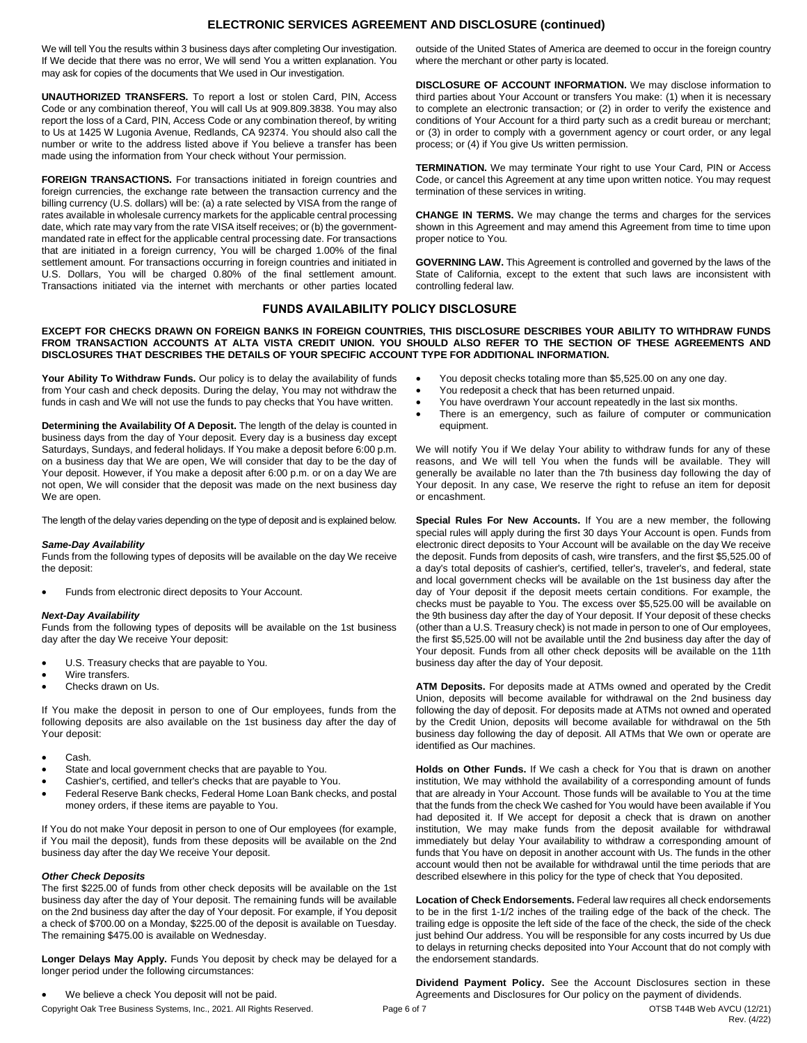## **ELECTRONIC SERVICES AGREEMENT AND DISCLOSURE (continued)**

We will tell You the results within 3 business days after completing Our investigation. If We decide that there was no error, We will send You a written explanation. You may ask for copies of the documents that We used in Our investigation.

**UNAUTHORIZED TRANSFERS.** To report a lost or stolen Card, PIN, Access Code or any combination thereof, You will call Us at 909.809.3838. You may also report the loss of a Card, PIN, Access Code or any combination thereof, by writing to Us at 1425 W Lugonia Avenue, Redlands, CA 92374. You should also call the number or write to the address listed above if You believe a transfer has been made using the information from Your check without Your permission.

**FOREIGN TRANSACTIONS.** For transactions initiated in foreign countries and foreign currencies, the exchange rate between the transaction currency and the billing currency (U.S. dollars) will be: (a) a rate selected by VISA from the range of rates available in wholesale currency markets for the applicable central processing date, which rate may vary from the rate VISA itself receives; or (b) the governmentmandated rate in effect for the applicable central processing date. For transactions that are initiated in a foreign currency, You will be charged 1.00% of the final settlement amount. For transactions occurring in foreign countries and initiated in U.S. Dollars, You will be charged 0.80% of the final settlement amount. Transactions initiated via the internet with merchants or other parties located

outside of the United States of America are deemed to occur in the foreign country where the merchant or other party is located.

**DISCLOSURE OF ACCOUNT INFORMATION.** We may disclose information to third parties about Your Account or transfers You make: (1) when it is necessary to complete an electronic transaction; or (2) in order to verify the existence and conditions of Your Account for a third party such as a credit bureau or merchant; or (3) in order to comply with a government agency or court order, or any legal process; or (4) if You give Us written permission.

**TERMINATION.** We may terminate Your right to use Your Card, PIN or Access Code, or cancel this Agreement at any time upon written notice. You may request termination of these services in writing.

**CHANGE IN TERMS.** We may change the terms and charges for the services shown in this Agreement and may amend this Agreement from time to time upon proper notice to You.

**GOVERNING LAW.** This Agreement is controlled and governed by the laws of the State of California, except to the extent that such laws are inconsistent with controlling federal law.

## **FUNDS AVAILABILITY POLICY DISCLOSURE**

#### **EXCEPT FOR CHECKS DRAWN ON FOREIGN BANKS IN FOREIGN COUNTRIES, THIS DISCLOSURE DESCRIBES YOUR ABILITY TO WITHDRAW FUNDS FROM TRANSACTION ACCOUNTS AT ALTA VISTA CREDIT UNION. YOU SHOULD ALSO REFER TO THE SECTION OF THESE AGREEMENTS AND DISCLOSURES THAT DESCRIBES THE DETAILS OF YOUR SPECIFIC ACCOUNT TYPE FOR ADDITIONAL INFORMATION.**

**Your Ability To Withdraw Funds.** Our policy is to delay the availability of funds from Your cash and check deposits. During the delay, You may not withdraw the funds in cash and We will not use the funds to pay checks that You have written.

**Determining the Availability Of A Deposit.** The length of the delay is counted in business days from the day of Your deposit. Every day is a business day except Saturdays, Sundays, and federal holidays. If You make a deposit before 6:00 p.m. on a business day that We are open, We will consider that day to be the day of Your deposit. However, if You make a deposit after 6:00 p.m. or on a day We are not open, We will consider that the deposit was made on the next business day We are open.

The length of the delay varies depending on the type of deposit and is explained below.

#### *Same-Day Availability*

Funds from the following types of deposits will be available on the day We receive the deposit:

Funds from electronic direct deposits to Your Account.

#### *Next-Day Availability*

Funds from the following types of deposits will be available on the 1st business day after the day We receive Your deposit:

- U.S. Treasury checks that are payable to You.
- Wire transfers.
- Checks drawn on Us.

If You make the deposit in person to one of Our employees, funds from the following deposits are also available on the 1st business day after the day of Your deposit:

- Cash.
- State and local government checks that are payable to You.
- Cashier's, certified, and teller's checks that are payable to You.
- Federal Reserve Bank checks, Federal Home Loan Bank checks, and postal money orders, if these items are payable to You.

If You do not make Your deposit in person to one of Our employees (for example, if You mail the deposit), funds from these deposits will be available on the 2nd business day after the day We receive Your deposit.

#### *Other Check Deposits*

The first \$225.00 of funds from other check deposits will be available on the 1st business day after the day of Your deposit. The remaining funds will be available on the 2nd business day after the day of Your deposit. For example, if You deposit a check of \$700.00 on a Monday, \$225.00 of the deposit is available on Tuesday. The remaining \$475.00 is available on Wednesday.

**Longer Delays May Apply.** Funds You deposit by check may be delayed for a longer period under the following circumstances:

We believe a check You deposit will not be paid.

Copyright Oak Tree Business Systems, Inc., 2021. All Rights Reserved. Page 6 of 7 OTSB T44B Web AVCU (12/21)

- You deposit checks totaling more than \$5,525.00 on any one day.
- You redeposit a check that has been returned unpaid.
- You have overdrawn Your account repeatedly in the last six months.
- There is an emergency, such as failure of computer or communication equipment.

We will notify You if We delay Your ability to withdraw funds for any of these reasons, and We will tell You when the funds will be available. They will generally be available no later than the 7th business day following the day of Your deposit. In any case, We reserve the right to refuse an item for deposit or encashment.

**Special Rules For New Accounts.** If You are a new member, the following special rules will apply during the first 30 days Your Account is open. Funds from electronic direct deposits to Your Account will be available on the day We receive the deposit. Funds from deposits of cash, wire transfers, and the first \$5,525.00 of a day's total deposits of cashier's, certified, teller's, traveler's, and federal, state and local government checks will be available on the 1st business day after the day of Your deposit if the deposit meets certain conditions. For example, the checks must be payable to You. The excess over \$5,525.00 will be available on the 9th business day after the day of Your deposit. If Your deposit of these checks (other than a U.S. Treasury check) is not made in person to one of Our employees, the first \$5,525.00 will not be available until the 2nd business day after the day of Your deposit. Funds from all other check deposits will be available on the 11th business day after the day of Your deposit.

**ATM Deposits.** For deposits made at ATMs owned and operated by the Credit Union, deposits will become available for withdrawal on the 2nd business day following the day of deposit. For deposits made at ATMs not owned and operated by the Credit Union, deposits will become available for withdrawal on the 5th business day following the day of deposit. All ATMs that We own or operate are identified as Our machines.

**Holds on Other Funds.** If We cash a check for You that is drawn on another institution, We may withhold the availability of a corresponding amount of funds that are already in Your Account. Those funds will be available to You at the time that the funds from the check We cashed for You would have been available if You had deposited it. If We accept for deposit a check that is drawn on another institution, We may make funds from the deposit available for withdrawal immediately but delay Your availability to withdraw a corresponding amount of funds that You have on deposit in another account with Us. The funds in the other account would then not be available for withdrawal until the time periods that are described elsewhere in this policy for the type of check that You deposited.

**Location of Check Endorsements.** Federal law requires all check endorsements to be in the first 1-1/2 inches of the trailing edge of the back of the check. The trailing edge is opposite the left side of the face of the check, the side of the check just behind Our address. You will be responsible for any costs incurred by Us due to delays in returning checks deposited into Your Account that do not comply with the endorsement standards.

**Dividend Payment Policy.** See the Account Disclosures section in these Agreements and Disclosures for Our policy on the payment of dividends.